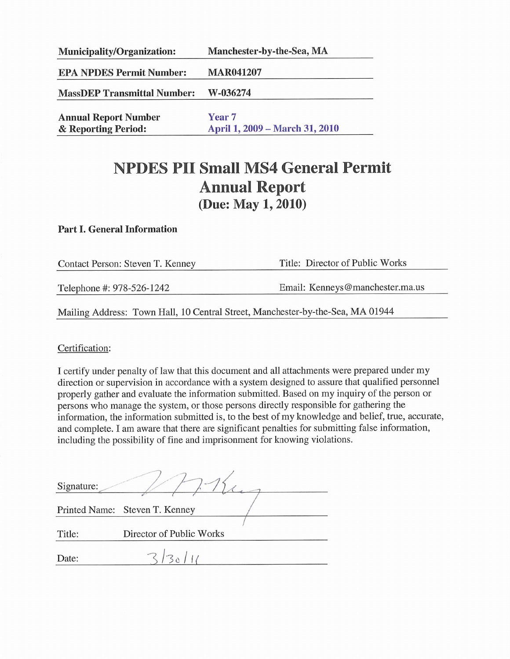| Manchester-by-the-Sea, MA                           |  |  |
|-----------------------------------------------------|--|--|
| <b>MAR041207</b>                                    |  |  |
| W-036274                                            |  |  |
| Year <sub>7</sub><br>April 1, 2009 – March 31, 2010 |  |  |
|                                                     |  |  |

# **NPDES PII Small MS4 General Permit Annual Report** (Due: May 1, 2010)

#### **Part I. General Information**

| Contact Person: Steven T. Kenney                                               | Title: Director of Public Works |  |  |  |  |
|--------------------------------------------------------------------------------|---------------------------------|--|--|--|--|
| Telephone #: 978-526-1242                                                      | Email: Kenneys@manchester.ma.us |  |  |  |  |
| Mailing Address: Town Hall, 10 Central Street, Manchester-by-the-Sea, MA 01944 |                                 |  |  |  |  |

Certification:

I certify under penalty of law that this document and all attachments were prepared under my direction or supervision in accordance with a system designed to assure that qualified personnel properly gather and evaluate the information submitted. Based on my inquiry of the person or persons who manage the system, or those persons directly responsible for gathering the information, the information submitted is, to the best of my knowledge and belief, true, accurate, and complete. I am aware that there are significant penalties for submitting false information, including the possibility of fine and imprisonment for knowing violations.

| $\sim$                         |
|--------------------------------|
| Printed Name: Steven T. Kenney |
| Director of Public Works       |
| $ \mathcal{B}_\Lambda $        |
|                                |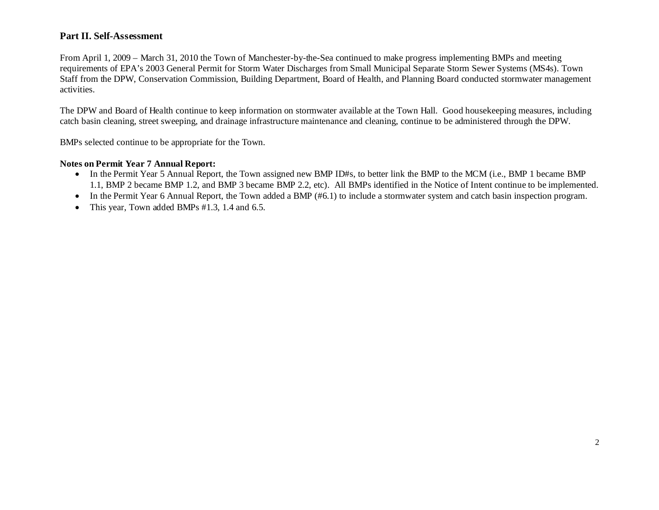#### **Part II. Self-Assessment**

From April 1, 2009 – March 31, 2010 the Town of Manchester-by-the-Sea continued to make progress implementing BMPs and meeting requirements of EPA's 2003 General Permit for Storm Water Discharges from Small Municipal Separate Storm Sewer Systems (MS4s). Town Staff from the DPW, Conservation Commission, Building Department, Board of Health, and Planning Board conducted stormwater management activities.

The DPW and Board of Health continue to keep information on stormwater available at the Town Hall. Good housekeeping measures, including catch basin cleaning, street sweeping, and drainage infrastructure maintenance and cleaning, continue to be administered through the DPW.

BMPs selected continue to be appropriate for the Town.

#### **Notes on Permit Year 7 Annual Report:**

- In the Permit Year 5 Annual Report, the Town assigned new BMP ID#s, to better link the BMP to the MCM (i.e., BMP 1 became BMP 1.1, BMP 2 became BMP 1.2, and BMP 3 became BMP 2.2, etc). All BMPs identified in the Notice of Intent continue to be implemented.
- In the Permit Year 6 Annual Report, the Town added a BMP (#6.1) to include a stormwater system and catch basin inspection program.
- This year, Town added BMPs #1.3, 1.4 and 6.5.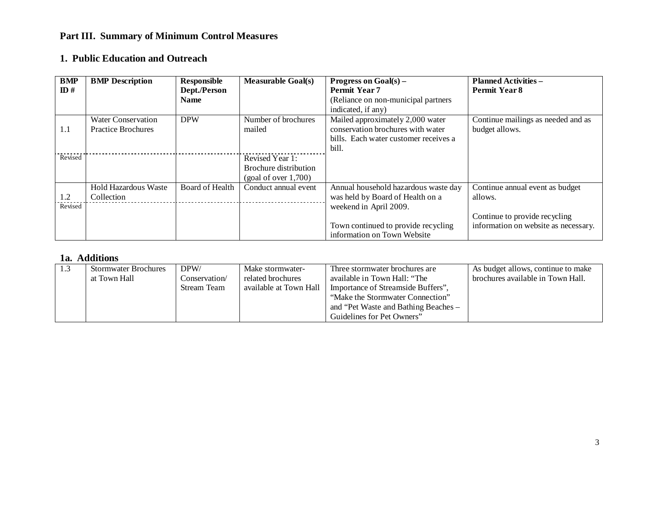## **Part III. Summary of Minimum Control Measures**

### **1. Public Education and Outreach**

| <b>BMP</b>      | <b>BMP</b> Description      | Responsible     | <b>Measurable Goal(s)</b> | <b>Progress on Goal(s) –</b>          | <b>Planned Activities -</b>          |
|-----------------|-----------------------------|-----------------|---------------------------|---------------------------------------|--------------------------------------|
| $\mathbf{ID}$ # |                             | Dept./Person    |                           | <b>Permit Year 7</b>                  | Permit Year 8                        |
|                 |                             | <b>Name</b>     |                           | (Reliance on non-municipal partners)  |                                      |
|                 |                             |                 |                           | indicated, if any)                    |                                      |
|                 | <b>Water Conservation</b>   | <b>DPW</b>      | Number of brochures       | Mailed approximately 2,000 water      | Continue mailings as needed and as   |
| 1.1             | <b>Practice Brochures</b>   |                 | mailed                    | conservation brochures with water     | budget allows.                       |
|                 |                             |                 |                           | bills. Each water customer receives a |                                      |
|                 |                             |                 |                           | bill.                                 |                                      |
| Revised         |                             |                 | Revised Year 1:           |                                       |                                      |
|                 |                             |                 | Brochure distribution     |                                       |                                      |
|                 |                             |                 | (goal of over 1,700)      |                                       |                                      |
|                 | <b>Hold Hazardous Waste</b> | Board of Health | Conduct annual event      | Annual household hazardous waste day  | Continue annual event as budget      |
| 1.2             | Collection                  |                 |                           | was held by Board of Health on a      | allows.                              |
| Revised         |                             |                 |                           | weekend in April 2009.                |                                      |
|                 |                             |                 |                           |                                       | Continue to provide recycling        |
|                 |                             |                 |                           | Town continued to provide recycling   | information on website as necessary. |
|                 |                             |                 |                           | information on Town Website           |                                      |

| 1.3 | <b>Stormwater Brochures</b><br>at Town Hall | DPW/<br>Conservation/<br>Stream Team | Make stormwater-<br>related brochures<br>available at Town Hall | Three stormwater brochures are<br>available in Town Hall: "The<br>Importance of Streamside Buffers",<br>"Make the Stormwater Connection"<br>and "Pet Waste and Bathing Beaches - | As budget allows, continue to make<br>brochures available in Town Hall. |
|-----|---------------------------------------------|--------------------------------------|-----------------------------------------------------------------|----------------------------------------------------------------------------------------------------------------------------------------------------------------------------------|-------------------------------------------------------------------------|
|     |                                             |                                      |                                                                 | Guidelines for Pet Owners"                                                                                                                                                       |                                                                         |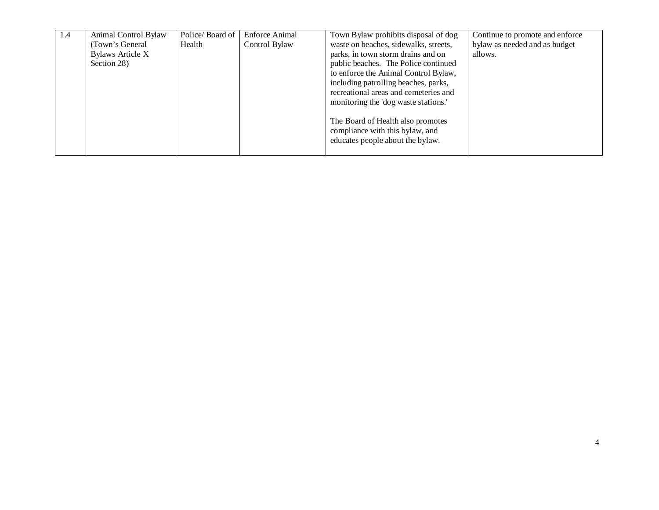| $\overline{1.4}$ | Animal Control Bylaw | Police/Board of | <b>Enforce Animal</b> | Town Bylaw prohibits disposal of dog  | Continue to promote and enforce |
|------------------|----------------------|-----------------|-----------------------|---------------------------------------|---------------------------------|
|                  | (Town's General)     | Health          | Control Bylaw         | waste on beaches, sidewalks, streets, | bylaw as needed and as budget   |
|                  | Bylaws Article X     |                 |                       | parks, in town storm drains and on    | allows.                         |
|                  | Section 28)          |                 |                       | public beaches. The Police continued  |                                 |
|                  |                      |                 |                       | to enforce the Animal Control Bylaw,  |                                 |
|                  |                      |                 |                       | including patrolling beaches, parks,  |                                 |
|                  |                      |                 |                       | recreational areas and cemeteries and |                                 |
|                  |                      |                 |                       | monitoring the 'dog waste stations.'  |                                 |
|                  |                      |                 |                       |                                       |                                 |
|                  |                      |                 |                       | The Board of Health also promotes     |                                 |
|                  |                      |                 |                       | compliance with this bylaw, and       |                                 |
|                  |                      |                 |                       | educates people about the bylaw.      |                                 |
|                  |                      |                 |                       |                                       |                                 |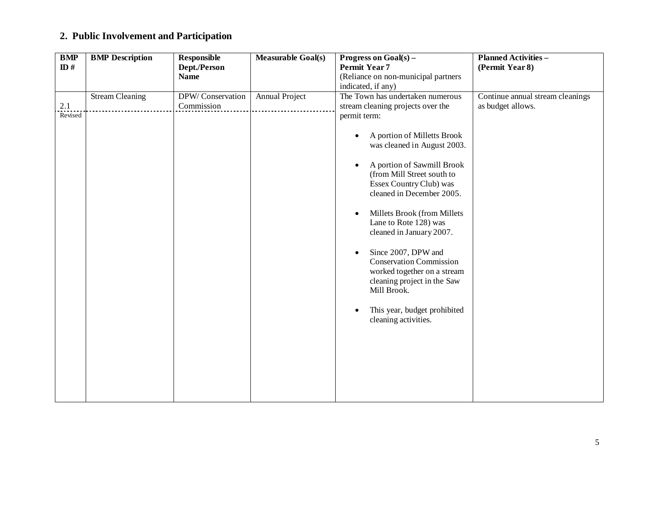## **2. Public Involvement and Participation**

| <b>BMP</b>     | <b>BMP</b> Description | <b>Responsible</b>             | <b>Measurable Goal(s)</b> | Progress on $Goal(s) -$                                                                                                                         | <b>Planned Activities -</b>                           |
|----------------|------------------------|--------------------------------|---------------------------|-------------------------------------------------------------------------------------------------------------------------------------------------|-------------------------------------------------------|
| ID#            |                        | Dept./Person                   |                           | Permit Year 7                                                                                                                                   | (Permit Year 8)                                       |
|                |                        | <b>Name</b>                    |                           | (Reliance on non-municipal partners                                                                                                             |                                                       |
|                |                        |                                |                           | indicated, if any)                                                                                                                              |                                                       |
| 2.1<br>Revised | <b>Stream Cleaning</b> | DPW/Conservation<br>Commission | Annual Project            | The Town has undertaken numerous<br>stream cleaning projects over the<br>permit term:                                                           | Continue annual stream cleanings<br>as budget allows. |
|                |                        |                                |                           | A portion of Milletts Brook<br>$\bullet$<br>was cleaned in August 2003.                                                                         |                                                       |
|                |                        |                                |                           | A portion of Sawmill Brook<br>$\bullet$<br>(from Mill Street south to<br>Essex Country Club) was<br>cleaned in December 2005.                   |                                                       |
|                |                        |                                |                           | Millets Brook (from Millets<br>$\bullet$<br>Lane to Rote 128) was<br>cleaned in January 2007.                                                   |                                                       |
|                |                        |                                |                           | Since 2007, DPW and<br>$\bullet$<br><b>Conservation Commission</b><br>worked together on a stream<br>cleaning project in the Saw<br>Mill Brook. |                                                       |
|                |                        |                                |                           | This year, budget prohibited<br>$\bullet$<br>cleaning activities.                                                                               |                                                       |
|                |                        |                                |                           |                                                                                                                                                 |                                                       |
|                |                        |                                |                           |                                                                                                                                                 |                                                       |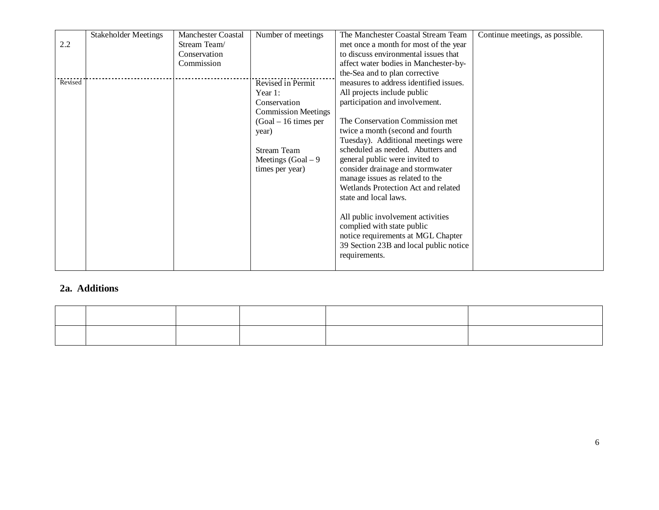|         | <b>Stakeholder Meetings</b> | <b>Manchester Coastal</b> | Number of meetings         | The Manchester Coastal Stream Team     | Continue meetings, as possible. |
|---------|-----------------------------|---------------------------|----------------------------|----------------------------------------|---------------------------------|
| 2.2     |                             | Stream Team/              |                            | met once a month for most of the year  |                                 |
|         |                             | Conservation              |                            | to discuss environmental issues that   |                                 |
|         |                             | Commission                |                            | affect water bodies in Manchester-by-  |                                 |
|         |                             |                           |                            | the-Sea and to plan corrective         |                                 |
| Revised |                             |                           | Revised in Permit          | measures to address identified issues. |                                 |
|         |                             |                           | Year $1$ :                 | All projects include public            |                                 |
|         |                             |                           | Conservation               | participation and involvement.         |                                 |
|         |                             |                           | <b>Commission Meetings</b> |                                        |                                 |
|         |                             |                           | $(Goal - 16 \times per)$   | The Conservation Commission met        |                                 |
|         |                             |                           | year)                      | twice a month (second and fourth       |                                 |
|         |                             |                           |                            | Tuesday). Additional meetings were     |                                 |
|         |                             |                           | <b>Stream Team</b>         | scheduled as needed. Abutters and      |                                 |
|         |                             |                           | Meetings $(Goal - 9)$      | general public were invited to         |                                 |
|         |                             |                           | times per year)            | consider drainage and stormwater       |                                 |
|         |                             |                           |                            | manage issues as related to the        |                                 |
|         |                             |                           |                            | Wetlands Protection Act and related    |                                 |
|         |                             |                           |                            | state and local laws.                  |                                 |
|         |                             |                           |                            |                                        |                                 |
|         |                             |                           |                            | All public involvement activities      |                                 |
|         |                             |                           |                            | complied with state public             |                                 |
|         |                             |                           |                            | notice requirements at MGL Chapter     |                                 |
|         |                             |                           |                            | 39 Section 23B and local public notice |                                 |
|         |                             |                           |                            | requirements.                          |                                 |
|         |                             |                           |                            |                                        |                                 |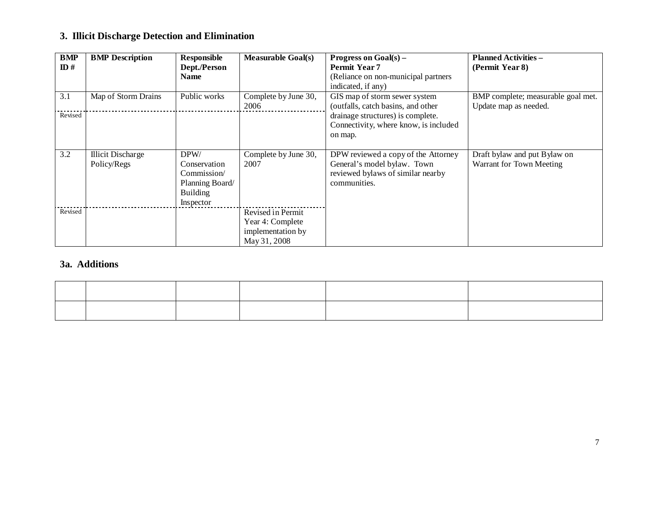## **3. Illicit Discharge Detection and Elimination**

| BMP<br>$\mathbf{ID}$ # | <b>BMP</b> Description                  | Responsible<br>Dept./Person                                                            | <b>Measurable Goal(s)</b>                                                  | <b>Progress on Goal(s) –</b><br>Permit Year 7                                                                           | <b>Planned Activities -</b><br>(Permit Year 8)              |
|------------------------|-----------------------------------------|----------------------------------------------------------------------------------------|----------------------------------------------------------------------------|-------------------------------------------------------------------------------------------------------------------------|-------------------------------------------------------------|
|                        |                                         | <b>Name</b>                                                                            |                                                                            | (Reliance on non-municipal partners<br>indicated, if any)                                                               |                                                             |
| 3.1                    | Map of Storm Drains                     | Public works                                                                           | Complete by June 30,<br>2006                                               | GIS map of storm sewer system<br>(outfalls, catch basins, and other                                                     | BMP complete; measurable goal met.<br>Update map as needed. |
| Revised                |                                         |                                                                                        |                                                                            | drainage structures) is complete.<br>Connectivity, where know, is included<br>on map.                                   |                                                             |
| 3.2                    | <b>Illicit Discharge</b><br>Policy/Regs | DPW/<br>Conservation<br>Commission/<br>Planning Board/<br><b>Building</b><br>Inspector | Complete by June 30,<br>2007                                               | DPW reviewed a copy of the Attorney<br>General's model bylaw. Town<br>reviewed bylaws of similar nearby<br>communities. | Draft bylaw and put Bylaw on<br>Warrant for Town Meeting    |
| Revised                |                                         |                                                                                        | Revised in Permit<br>Year 4: Complete<br>implementation by<br>May 31, 2008 |                                                                                                                         |                                                             |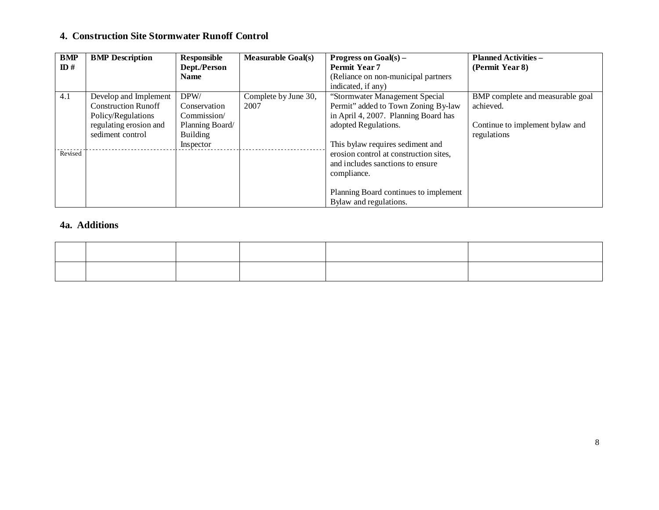### **4. Construction Site Stormwater Runoff Control**

| <b>BMP</b>      | <b>BMP</b> Description     | Responsible     | <b>Measurable Goal(s)</b> | Progress on $Goal(s)$ –                | <b>Planned Activities -</b>      |
|-----------------|----------------------------|-----------------|---------------------------|----------------------------------------|----------------------------------|
| $\mathbf{ID}$ # |                            | Dept./Person    |                           | Permit Year 7                          | (Permit Year 8)                  |
|                 |                            | <b>Name</b>     |                           | (Reliance on non-municipal partners)   |                                  |
|                 |                            |                 |                           | indicated, if any)                     |                                  |
| 4.1             | Develop and Implement      | DPW/            | Complete by June 30,      | "Stormwater Management Special         | BMP complete and measurable goal |
|                 | <b>Construction Runoff</b> | Conservation    | 2007                      | Permit" added to Town Zoning By-law    | achieved.                        |
|                 | Policy/Regulations         | Commission/     |                           | in April 4, 2007. Planning Board has   |                                  |
|                 | regulating erosion and     | Planning Board/ |                           | adopted Regulations.                   | Continue to implement bylaw and  |
|                 | sediment control           | <b>Building</b> |                           |                                        | regulations                      |
|                 |                            | Inspector       |                           | This bylaw requires sediment and       |                                  |
| Revised         |                            |                 |                           | erosion control at construction sites, |                                  |
|                 |                            |                 |                           | and includes sanctions to ensure       |                                  |
|                 |                            |                 |                           | compliance.                            |                                  |
|                 |                            |                 |                           |                                        |                                  |
|                 |                            |                 |                           | Planning Board continues to implement  |                                  |
|                 |                            |                 |                           | Bylaw and regulations.                 |                                  |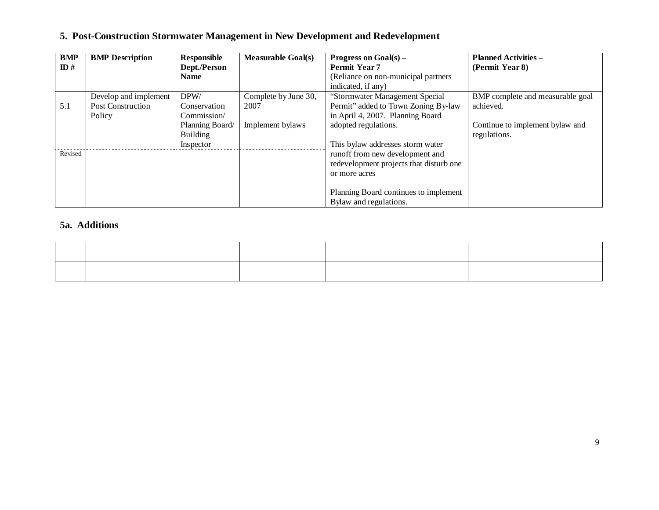## **5. Post-Construction Stormwater Management in New Development and Redevelopment**

| <b>BMP</b>      | <b>BMP</b> Description   | Responsible     | <b>Measurable Goal(s)</b> | Progress on $Goal(s)$ –                 | <b>Planned Activities -</b>      |
|-----------------|--------------------------|-----------------|---------------------------|-----------------------------------------|----------------------------------|
| $\mathbf{ID}$ # |                          | Dept./Person    |                           | <b>Permit Year 7</b>                    | (Permit Year 8)                  |
|                 |                          | <b>Name</b>     |                           | (Reliance on non-municipal partners)    |                                  |
|                 |                          |                 |                           | indicated, if any)                      |                                  |
|                 | Develop and implement    | DPW/            | Complete by June 30,      | "Stormwater Management Special          | BMP complete and measurable goal |
| 5.1             | <b>Post Construction</b> | Conservation    | 2007                      | Permit" added to Town Zoning By-law     | achieved.                        |
|                 | Policy                   | Commission/     |                           | in April 4, 2007. Planning Board        |                                  |
|                 |                          | Planning Board/ | Implement bylaws          | adopted regulations.                    | Continue to implement bylaw and  |
|                 |                          | <b>Building</b> |                           |                                         | regulations.                     |
|                 |                          | Inspector       |                           | This bylaw addresses storm water        |                                  |
| Revised         |                          |                 |                           | runoff from new development and         |                                  |
|                 |                          |                 |                           | redevelopment projects that disturb one |                                  |
|                 |                          |                 |                           | or more acres                           |                                  |
|                 |                          |                 |                           |                                         |                                  |
|                 |                          |                 |                           | Planning Board continues to implement   |                                  |
|                 |                          |                 |                           | Bylaw and regulations.                  |                                  |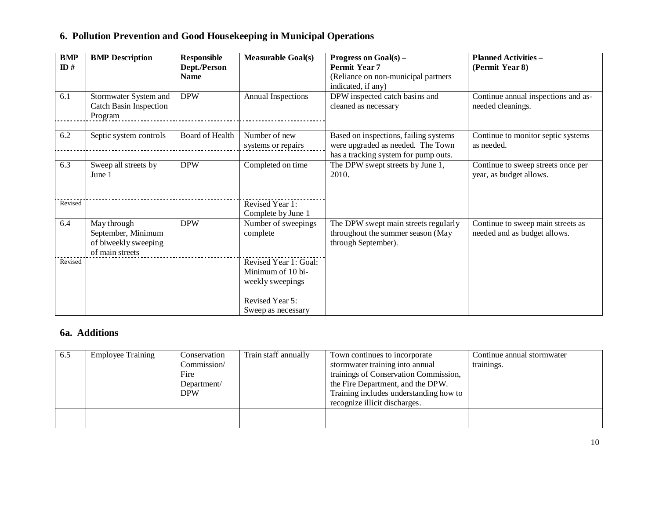|  |  |  |  |  |  | 6. Pollution Prevention and Good Housekeeping in Municipal Operations |  |
|--|--|--|--|--|--|-----------------------------------------------------------------------|--|
|--|--|--|--|--|--|-----------------------------------------------------------------------|--|

| <b>BMP</b><br>ID# | <b>BMP</b> Description                                                       | <b>Responsible</b><br>Dept./Person | <b>Measurable Goal(s)</b>                                                                               | <b>Progress on Goal(s) –</b><br><b>Permit Year 7</b>                                                               | <b>Planned Activities -</b><br>(Permit Year 8)                    |
|-------------------|------------------------------------------------------------------------------|------------------------------------|---------------------------------------------------------------------------------------------------------|--------------------------------------------------------------------------------------------------------------------|-------------------------------------------------------------------|
|                   |                                                                              | <b>Name</b>                        |                                                                                                         | (Reliance on non-municipal partners<br>indicated, if any)                                                          |                                                                   |
| 6.1               | Stormwater System and<br><b>Catch Basin Inspection</b><br>Program            | <b>DPW</b>                         | Annual Inspections                                                                                      | DPW inspected catch basins and<br>cleaned as necessary                                                             | Continue annual inspections and as-<br>needed cleanings.          |
| 6.2               | Septic system controls                                                       | <b>Board of Health</b>             | Number of new<br>systems or repairs                                                                     | Based on inspections, failing systems<br>were upgraded as needed. The Town<br>has a tracking system for pump outs. | Continue to monitor septic systems<br>as needed.                  |
| 6.3               | Sweep all streets by<br>June 1                                               | <b>DPW</b>                         | Completed on time                                                                                       | The DPW swept streets by June 1,<br>2010.                                                                          | Continue to sweep streets once per<br>year, as budget allows.     |
| Revised           |                                                                              |                                    | Revised Year 1:<br>Complete by June 1                                                                   |                                                                                                                    |                                                                   |
| 6.4               | May through<br>September, Minimum<br>of biweekly sweeping<br>of main streets | <b>DPW</b>                         | Number of sweepings<br>complete                                                                         | The DPW swept main streets regularly<br>throughout the summer season (May<br>through September).                   | Continue to sweep main streets as<br>needed and as budget allows. |
| Revised           |                                                                              |                                    | Revised Year 1: Goal:<br>Minimum of 10 bi-<br>weekly sweepings<br>Revised Year 5:<br>Sweep as necessary |                                                                                                                    |                                                                   |

| 6.5 | <b>Employee Training</b> | Conservation<br>Commission/<br>Fire<br>Department/<br><b>DPW</b> | Train staff annually | Town continues to incorporate<br>stormwater training into annual<br>trainings of Conservation Commission,<br>the Fire Department, and the DPW.<br>Training includes understanding how to<br>recognize illicit discharges. | Continue annual stormwater<br>trainings. |
|-----|--------------------------|------------------------------------------------------------------|----------------------|---------------------------------------------------------------------------------------------------------------------------------------------------------------------------------------------------------------------------|------------------------------------------|
|     |                          |                                                                  |                      |                                                                                                                                                                                                                           |                                          |